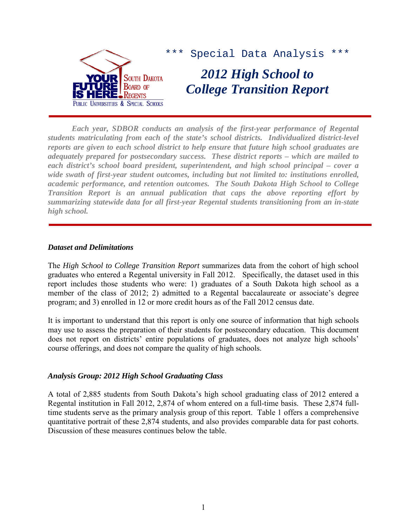

*Each year, SDBOR conducts an analysis of the first-year performance of Regental students matriculating from each of the state's school districts. Individualized district-level reports are given to each school district to help ensure that future high school graduates are adequately prepared for postsecondary success. These district reports – which are mailed to each district's school board president, superintendent, and high school principal – cover a wide swath of first-year student outcomes, including but not limited to: institutions enrolled, academic performance, and retention outcomes. The South Dakota High School to College Transition Report is an annual publication that caps the above reporting effort by summarizing statewide data for all first-year Regental students transitioning from an in-state high school.* 

## *Dataset and Delimitations*

The *High School to College Transition Report* summarizes data from the cohort of high school graduates who entered a Regental university in Fall 2012. Specifically, the dataset used in this report includes those students who were: 1) graduates of a South Dakota high school as a member of the class of 2012; 2) admitted to a Regental baccalaureate or associate's degree program; and 3) enrolled in 12 or more credit hours as of the Fall 2012 census date.

It is important to understand that this report is only one source of information that high schools may use to assess the preparation of their students for postsecondary education. This document does not report on districts' entire populations of graduates, does not analyze high schools' course offerings, and does not compare the quality of high schools.

# *Analysis Group: 2012 High School Graduating Class*

A total of 2,885 students from South Dakota's high school graduating class of 2012 entered a Regental institution in Fall 2012, 2,874 of whom entered on a full-time basis. These 2,874 fulltime students serve as the primary analysis group of this report. Table 1 offers a comprehensive quantitative portrait of these 2,874 students, and also provides comparable data for past cohorts. Discussion of these measures continues below the table.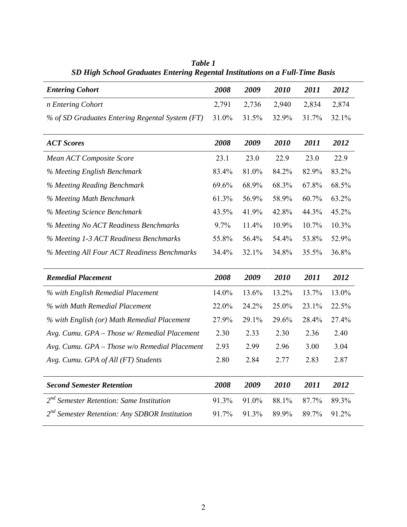|                                                           | 2008  | 2009  | 2010  | 2011  | 2012  |
|-----------------------------------------------------------|-------|-------|-------|-------|-------|
| <b>Entering Cohort</b>                                    |       |       |       |       |       |
| n Entering Cohort                                         | 2,791 | 2,736 | 2,940 | 2,834 | 2,874 |
| % of SD Graduates Entering Regental System (FT)           | 31.0% | 31.5% | 32.9% | 31.7% | 32.1% |
|                                                           |       |       |       |       |       |
| <b>ACT Scores</b>                                         | 2008  | 2009  | 2010  | 2011  | 2012  |
| Mean ACT Composite Score                                  | 23.1  | 23.0  | 22.9  | 23.0  | 22.9  |
| % Meeting English Benchmark                               | 83.4% | 81.0% | 84.2% | 82.9% | 83.2% |
| % Meeting Reading Benchmark                               | 69.6% | 68.9% | 68.3% | 67.8% | 68.5% |
| % Meeting Math Benchmark                                  | 61.3% | 56.9% | 58.9% | 60.7% | 63.2% |
| % Meeting Science Benchmark                               | 43.5% | 41.9% | 42.8% | 44.3% | 45.2% |
| % Meeting No ACT Readiness Benchmarks                     | 9.7%  | 11.4% | 10.9% | 10.7% | 10.3% |
| % Meeting 1-3 ACT Readiness Benchmarks                    | 55.8% | 56.4% | 54.4% | 53.8% | 52.9% |
| % Meeting All Four ACT Readiness Benchmarks               | 34.4% | 32.1% | 34.8% | 35.5% | 36.8% |
|                                                           |       |       |       |       |       |
| <b>Remedial Placement</b>                                 | 2008  | 2009  | 2010  | 2011  | 2012  |
| % with English Remedial Placement                         | 14.0% | 13.6% | 13.2% | 13.7% | 13.0% |
| % with Math Remedial Placement                            | 22.0% | 24.2% | 25.0% | 23.1% | 22.5% |
| % with English (or) Math Remedial Placement               | 27.9% | 29.1% | 29.6% | 28.4% | 27.4% |
| Avg. Cumu. GPA - Those w/ Remedial Placement              | 2.30  | 2.33  | 2.30  | 2.36  | 2.40  |
| Avg. Cumu. GPA - Those w/o Remedial Placement             | 2.93  | 2.99  | 2.96  | 3.00  | 3.04  |
| Avg. Cumu. GPA of All (FT) Students                       | 2.80  | 2.84  | 2.77  | 2.83  | 2.87  |
|                                                           |       |       |       |       |       |
| <b>Second Semester Retention</b>                          |       | 2009  | 2010  | 2011  | 2012  |
| $2nd$ Semester Retention: Same Institution                | 91.3% | 91.0% | 88.1% | 87.7% | 89.3% |
| 2 <sup>nd</sup> Semester Retention: Any SDBOR Institution | 91.7% | 91.3% | 89.9% | 89.7% | 91.2% |
|                                                           |       |       |       |       |       |

*Table 1 SD High School Graduates Entering Regental Institutions on a Full-Time Basis*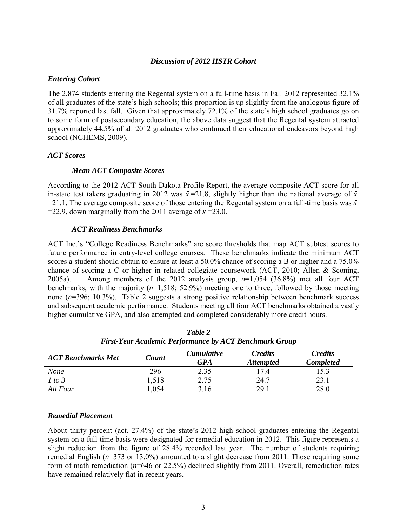## *Discussion of 2012 HSTR Cohort*

## *Entering Cohort*

The 2,874 students entering the Regental system on a full-time basis in Fall 2012 represented 32.1% of all graduates of the state's high schools; this proportion is up slightly from the analogous figure of 31.7% reported last fall. Given that approximately 72.1% of the state's high school graduates go on to some form of postsecondary education, the above data suggest that the Regental system attracted approximately 44.5% of all 2012 graduates who continued their educational endeavors beyond high school (NCHEMS, 2009).

## *ACT Scores*

## *Mean ACT Composite Scores*

According to the 2012 ACT South Dakota Profile Report, the average composite ACT score for all in-state test takers graduating in 2012 was  $\bar{x}$ =21.8, slightly higher than the national average of  $\bar{x}$  $=$ 21.1. The average composite score of those entering the Regental system on a full-time basis was  $\bar{x}$  $=$ 22.9, down marginally from the 2011 average of  $\bar{x}$  = 23.0.

## *ACT Readiness Benchmarks*

ACT Inc.'s "College Readiness Benchmarks" are score thresholds that map ACT subtest scores to future performance in entry-level college courses. These benchmarks indicate the minimum ACT scores a student should obtain to ensure at least a 50.0% chance of scoring a B or higher and a 75.0% chance of scoring a C or higher in related collegiate coursework (ACT, 2010; Allen & Sconing, 2005a). Among members of the 2012 analysis group, *n*=1,054 (36.8%) met all four ACT benchmarks, with the majority (*n*=1,518; 52.9%) meeting one to three, followed by those meeting none (*n*=396; 10.3%). Table 2 suggests a strong positive relationship between benchmark success and subsequent academic performance. Students meeting all four ACT benchmarks obtained a vastly higher cumulative GPA, and also attempted and completed considerably more credit hours.

| <b>First-Tear Academic Ferjormance by ACT Denchmark Group</b> |       |                                                                |      |                                    |  |  |  |  |
|---------------------------------------------------------------|-------|----------------------------------------------------------------|------|------------------------------------|--|--|--|--|
| <b>ACT Benchmarks Met</b>                                     | Count | <b>Credits</b><br><i>Cumulative</i><br>GPA<br><b>Attempted</b> |      | <b>Credits</b><br><b>Completed</b> |  |  |  |  |
| <b>None</b>                                                   | 296   | 2.35                                                           | 17.4 | 15.3                               |  |  |  |  |
| 1 to 3                                                        | 1,518 | 2.75                                                           | 24.7 | 23.1                               |  |  |  |  |
| All Four                                                      | .054  | 3.16                                                           | 29 1 | 28.0                               |  |  |  |  |

| Table 2                                                       |
|---------------------------------------------------------------|
| <b>First-Year Academic Performance by ACT Benchmark Group</b> |

#### *Remedial Placement*

About thirty percent (act. 27.4%) of the state's 2012 high school graduates entering the Regental system on a full-time basis were designated for remedial education in 2012. This figure represents a slight reduction from the figure of 28.4% recorded last year. The number of students requiring remedial English (*n*=373 or 13.0%) amounted to a slight decrease from 2011. Those requiring some form of math remediation (*n*=646 or 22.5%) declined slightly from 2011. Overall, remediation rates have remained relatively flat in recent years.